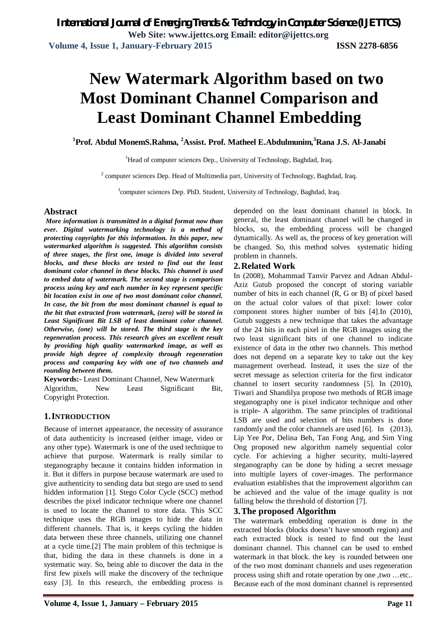# **New Watermark Algorithm based on two Most Dominant Channel Comparison and Least Dominant Channel Embedding**

**<sup>1</sup>Prof. Abdul MonemS.Rahma, <sup>2</sup>Assist. Prof. Matheel E.Abdulmunim, <sup>3</sup>Rana J.S. Al-Janabi**

<sup>1</sup>Head of computer sciences Dep., University of Technology, Baghdad, Iraq.

 $2$  computer sciences Dep. Head of Multimedia part, University of Technology, Baghdad, Iraq.

<sup>3</sup>computer sciences Dep. PhD. Student, University of Technology, Baghdad, Iraq.

#### **Abstract**

*More information is transmitted in a digital format now than ever. Digital watermarking technology is a method of protecting copyrights for this information. In this paper, new watermarked algorithm is suggested. This algorithm consists of three stages, the first one, image is divided into several blocks, and these blocks are tested to find out the least dominant color channel in these blocks. This channel is used to embed data of watermark. The second stage is comparison process using key and each number in key represent specific bit location exist in one of two most dominant color channel. In case, the bit from the most dominant channel is equal to the bit that extracted from watermark, (zero) will be stored in Least Significant Bit LSB of least dominant color channel. Otherwise, (one) will be stored. The third stage is the key regeneration process. This research gives an excellent result by providing high quality watermarked image, as well as provide high degree of complexity through regeneration process and comparing key with one of two channels and rounding between them.*

**Keywords:-** Least Dominant Channel, New Watermark Algorithm, New Least Significant Bit, Copyright Protection.

### **1.INTRODUCTION**

Because of internet appearance, the necessity of assurance of data authenticity is increased (either image, video or any other type). Watermark is one of the used technique to achieve that purpose. Watermark is really similar to steganography because it contains hidden information in it. But it differs in purpose because watermark are used to give authenticity to sending data but stego are used to send hidden information [1]. Stego Color Cycle (SCC) method describes the pixel indicator technique where one channel is used to locate the channel to store data. This SCC technique uses the RGB images to hide the data in different channels. That is, it keeps cycling the hidden data between these three channels, utilizing one channel at a cycle time.[2] The main problem of this technique is that, hiding the data in these channels is done in a systematic way. So, being able to discover the data in the first few pixels will make the discovery of the technique easy [3]. In this research, the embedding process is

depended on the least dominant channel in block. In general, the least dominant channel will be changed in blocks, so, the embedding process will be changed dynamically. As well as, the process of key generation will be changed. So, this method solves systematic hiding problem in channels.

#### **2.Related Work**

In (2008), Mohammad Tanvir Parvez and Adnan Abdul-Aziz Gutub proposed the concept of storing variable number of bits in each channel (R, G or B) of pixel based on the actual color values of that pixel: lower color component stores higher number of bits [4].In (2010), Gutub suggests a new technique that takes the advantage of the 24 bits in each pixel in the RGB images using the two least significant bits of one channel to indicate existence of data in the other two channels. This method does not depend on a separate key to take out the key management overhead. Instead, it uses the size of the secret message as selection criteria for the first indicator channel to insert security randomness [5]. In (2010), Tiwari and Shandilya propose two methods of RGB image steganography one is pixel indicator technique and other is triple- A algorithm. The same principles of traditional LSB are used and selection of bits numbers is done randomly and the color channels are used [6]. In (2013), Lip Yee Por, Delina Beh, Tan Fong Ang, and Sim Ying Ong proposed new algorithm namely sequential color cycle. For achieving a higher security, multi-layered steganography can be done by hiding a secret message into multiple layers of cover-images. The performance evaluation establishes that the improvement algorithm can be achieved and the value of the image quality is not falling below the threshold of distortion [7].

#### **3.The proposed Algorithm**

The watermark embedding operation is done in the extracted blocks (blocks doesn't have smooth region) and each extracted block is tested to find out the least dominant channel. This channel can be used to embed watermark in that block. the key is rounded between one of the two most dominant channels and uses regeneration process using shift and rotate operation by one ,two …etc.. Because each of the most dominant channel is represented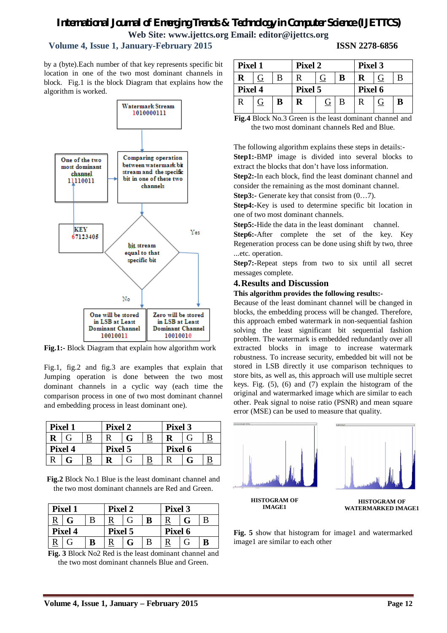# *International Journal of Emerging Trends & Technology in Computer Science (IJETTCS)*

**Web Site: www.ijettcs.org Email: editor@ijettcs.org** 

## **Volume 4, Issue 1, January-February 2015 ISSN 2278-6856**

by a (byte).Each number of that key represents specific bit location in one of the two most dominant channels in block. Fig.1 is the block Diagram that explains how the algorithm is worked.



Fig.1:- Block Diagram that explain how algorithm work

Fig.1, fig.2 and fig.3 are examples that explain that Jumping operation is done between the two most dominant channels in a cyclic way (each time the comparison process in one of two most dominant channel and embedding process in least dominant one).

| Pixel 1     |   |          | Pixel 2 |   |                         | Pixel 3 |   |  |
|-------------|---|----------|---------|---|-------------------------|---------|---|--|
| $\bf{R}$    | G | <u>B</u> |         | G | $\overline{\mathbf{B}}$ |         | G |  |
| Pixel 4     |   |          | Pixel 5 |   |                         | Pixel 6 |   |  |
| $\mathbf R$ | G |          |         | G |                         |         | G |  |

**Fig.2** Block No.1 Blue is the least dominant channel and the two most dominant channels are Red and Green.

| Pixel 1  |   |   | Pixel 2 |   |   | Pixel 3 |  |  |
|----------|---|---|---------|---|---|---------|--|--|
| <u>R</u> | G | B |         |   | в |         |  |  |
| Pixel 4  |   |   | Pixel 5 |   |   | Pixel 6 |  |  |
|          | G | в |         | G | В |         |  |  |

**Fig. 3** Block No2 Red is the least dominant channel and the two most dominant channels Blue and Green.

| Pixel 1     |                |   | Pixel 2 |                |   | Pixel 3 |                |   |
|-------------|----------------|---|---------|----------------|---|---------|----------------|---|
| R           | G              | B | R       | G              | В | R       | G              | B |
| Pixel 4     |                |   | Pixel 5 |                |   | Pixel 6 |                |   |
| $\mathbf R$ | $\overline{G}$ | B | R       | $\overline{G}$ | B | R       | $\overline{G}$ | B |

**Fig.4** Block No.3 Green is the least dominant channel and the two most dominant channels Red and Blue.

The following algorithm explains these steps in details:- **Step1:-**BMP image is divided into several blocks to extract the blocks that don't have loss information.

**Step2:-**In each block, find the least dominant channel and consider the remaining as the most dominant channel.

**Step3:-** Generate key that consist from  $(0...7)$ .

**Step4:-**Key is used to determine specific bit location in one of two most dominant channels.

**Step5:-**Hide the data in the least dominant channel.

**Step6:-**After complete the set of the key. Key Regeneration process can be done using shift by two, three ...etc. operation.

**Step7:-**Repeat steps from two to six until all secret messages complete.

### **4.Results and Discussion**

### **This algorithm provides the following results:-**

Because of the least dominant channel will be changed in blocks, the embedding process will be changed. Therefore, this approach embed watermark in non-sequential fashion solving the least significant bit sequential fashion problem. The watermark is embedded redundantly over all extracted blocks in image to increase watermark robustness. To increase security, embedded bit will not be stored in LSB directly it use comparison techniques to store bits, as well as, this approach will use multiple secret keys. Fig. (5), (6) and (7) explain the histogram of the original and watermarked image which are similar to each other. Peak signal to noise ratio (PSNR) and mean square error (MSE) can be used to measure that quality.



**Fig. 5** show that histogram for image1 and watermarked image1 are similar to each other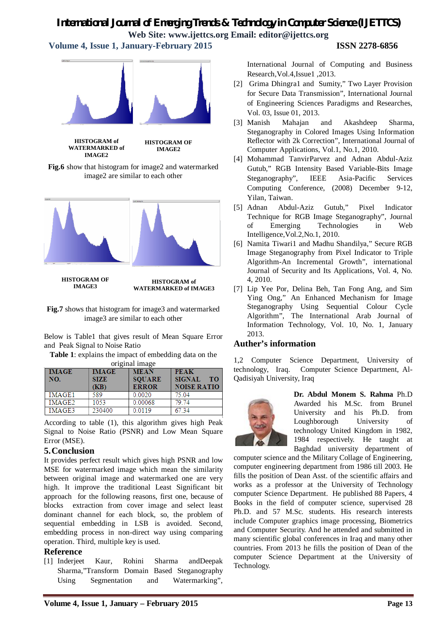## *International Journal of Emerging Trends & Technology in Computer Science (IJETTCS)* **Web Site: www.ijettcs.org Email: editor@ijettcs.org**

 **Volume 4, Issue 1, January-February 2015 ISSN 2278-6856**

**HISTOGRAM OF IMAGE2**

**Fig.6** show that histogram for image2 and watermarked image2 are similar to each other



**HISTOGRAM OF IMAGE3**

#### **HISTOGRAM of WATERMARKED of IMAGE3**

**Fig.7** shows that histogram for image3 and watermarked image3 are similar to each other

Below is Table1 that gives result of Mean Square Error and Peak Signal to Noise Ratio

**Table 1**: explains the impact of embedding data on the

| original image |              |               |                            |  |  |  |  |
|----------------|--------------|---------------|----------------------------|--|--|--|--|
| <b>IMAGE</b>   | <b>IMAGE</b> | <b>MEAN</b>   | <b>PEAK</b>                |  |  |  |  |
| NO.            | <b>SIZE</b>  | <b>SOUARE</b> | <b>SIGNAL</b><br><b>TO</b> |  |  |  |  |
|                | (KB)         | <b>ERROR</b>  | <b>NOISE RATIO</b>         |  |  |  |  |
| IMAGE1         | 589          | 0.0020        | 75.04                      |  |  |  |  |
| IMAGE2         | 1053         | 0.00068       | 79.74                      |  |  |  |  |
| IMAGE3         | 230400       | 0 0 1 1 9     | 6734                       |  |  |  |  |

According to table (1), this algorithm gives high Peak Signal to Noise Ratio (PSNR) and Low Mean Square Error (MSE).

## **5.Conclusion**

It provides perfect result which gives high PSNR and low MSE for watermarked image which mean the similarity between original image and watermarked one are very high. It improve the traditional Least Significant bit approach for the following reasons, first one, because of blocks extraction from cover image and select least dominant channel for each block, so, the problem of sequential embedding in LSB is avoided. Second, embedding process in non-direct way using comparing operation. Third, multiple key is used.

## **Reference**

[1] Inderjeet Kaur, Rohini Sharma andDeepak Sharma,"Transform Domain Based Steganography Using Segmentation and Watermarking", International Journal of Computing and Business Research,Vol.4,Issue1 ,2013.

- [2] Grima Dhingra1 and Sumity," Two Layer Provision for Secure Data Transmission", International Journal of Engineering Sciences Paradigms and Researches, Vol. 03, Issue 01, 2013.
- [3] Manish Mahajan and Akashdeep Sharma, Steganography in Colored Images Using Information Reflector with 2k Correction", International Journal of Computer Applications, Vol.1, No.1, 2010.
- [4] Mohammad TanvirParvez and Adnan Abdul-Aziz Gutub," RGB Intensity Based Variable-Bits Image Steganography", IEEE Asia-Pacific Services Computing Conference, (2008) December 9-12, Yilan, Taiwan.
- [5] Adnan Abdul-Aziz Gutub," Pixel Indicator Technique for RGB Image Steganography", Journal of Emerging Technologies in Web Intelligence,Vol.2,No.1, 2010.
- [6] Namita Tiwari1 and Madhu Shandilya," Secure RGB Image Steganography from Pixel Indicator to Triple Algorithm-An Incremental Growth", international Journal of Security and Its Applications, Vol. 4, No. 4, 2010.
- [7] Lip Yee Por, Delina Beh, Tan Fong Ang, and Sim Ying Ong," An Enhanced Mechanism for Image Steganography Using Sequential Colour Cycle Algorithm", The International Arab Journal of Information Technology, Vol. 10, No. 1, January 2013.

## **Auther's information**

1,2 Computer Science Department, University of technology, Iraq. Computer Science Department, Al-Qadisiyah University, Iraq



**Dr. Abdul Monem S. Rahma** Ph.D Awarded his M.Sc. from Brunel University and his Ph.D. from Loughborough University of technology United Kingdom in 1982, 1984 respectively. He taught at Baghdad university department of

computer science and the Military Collage of Engineering, computer engineering department from 1986 till 2003. He fills the position of Dean Asst. of the scientific affairs and works as a professor at the University of Technology computer Science Department. He published 88 Papers, 4 Books in the field of computer science, supervised 28 Ph.D. and 57 M.Sc. students. His research interests include Computer graphics image processing, Biometrics and Computer Security. And he attended and submitted in many scientific global conferences in Iraq and many other countries. From 2013 he fills the position of Dean of the computer Science Department at the University of Technology.

**HISTOGRAM of WATERMARKED of IMAGE2**